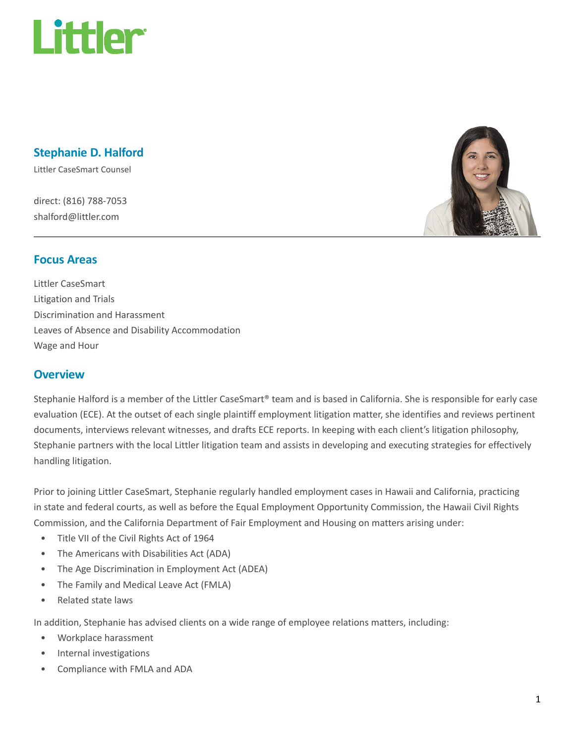

# Stephanie D. Halford

Littler CaseSmart Counsel

direct: (816) 788-7053 shalford@littler.com



#### Focus Areas

Littler CaseSmart Litigation and Trials Discrimination and Harassment Leaves of Absence and Disability Accommodation Wage and Hour

#### **Overview**

Stephanie Halford is a member of the Littler CaseSmart® team and is based in California. She is responsible for early case evaluation (ECE). At the outset of each single plaintiff employment litigation matter, she identifies and reviews pertinent documents, interviews relevant witnesses, and drafts ECE reports. In keeping with each client's litigation philosophy, Stephanie partners with the local Littler litigation team and assists in developing and executing strategies for effectively handling litigation.

Prior to joining Littler CaseSmart, Stephanie regularly handled employment cases in Hawaii and California, practicing in state and federal courts, as well as before the Equal Employment Opportunity Commission, the Hawaii Civil Rights Commission, and the California Department of Fair Employment and Housing on matters arising under:

- Title VII of the Civil Rights Act of 1964
- The Americans with Disabilities Act (ADA)
- The Age Discrimination in Employment Act (ADEA)
- The Family and Medical Leave Act (FMLA)
- Related state laws

In addition, Stephanie has advised clients on a wide range of employee relations matters, including:

- Workplace harassment
- Internal investigations
- Compliance with FMLA and ADA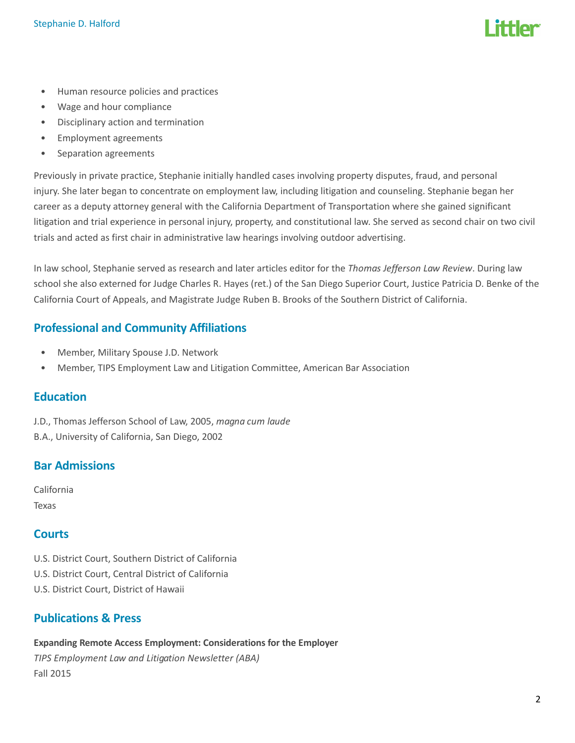- Human resource policies and practices
- Wage and hour compliance
- Disciplinary action and termination
- Employment agreements
- Separation agreements

Previously in private practice, Stephanie initially handled cases involving property disputes, fraud, and personal injury. She later began to concentrate on employment law, including litigation and counseling. Stephanie began her career as a deputy attorney general with the California Department of Transportation where she gained significant litigation and trial experience in personal injury, property, and constitutional law. She served as second chair on two civil trials and acted as first chair in administrative law hearings involving outdoor advertising.

In law school, Stephanie served as research and later articles editor for the Thomas Jefferson Law Review. During law school she also externed for Judge Charles R. Hayes (ret.) of the San Diego Superior Court, Justice Patricia D. Benke of the California Court of Appeals, and Magistrate Judge Ruben B. Brooks of the Southern District of California.

# Professional and Community Affiliations

- Member, Military Spouse J.D. Network
- Member, TIPS Employment Law and Litigation Committee, American Bar Association

# **Education**

J.D., Thomas Jefferson School of Law, 2005, magna cum laude B.A., University of California, San Diego, 2002

# Bar Admissions

California Texas

# **Courts**

- U.S. District Court, Southern District of California
- U.S. District Court, Central District of California
- U.S. District Court, District of Hawaii

# Publications & Press

Expanding Remote Access Employment: Considerations for the Employer

TIPS Employment Law and Litigation Newsletter (ABA) Fall 2015